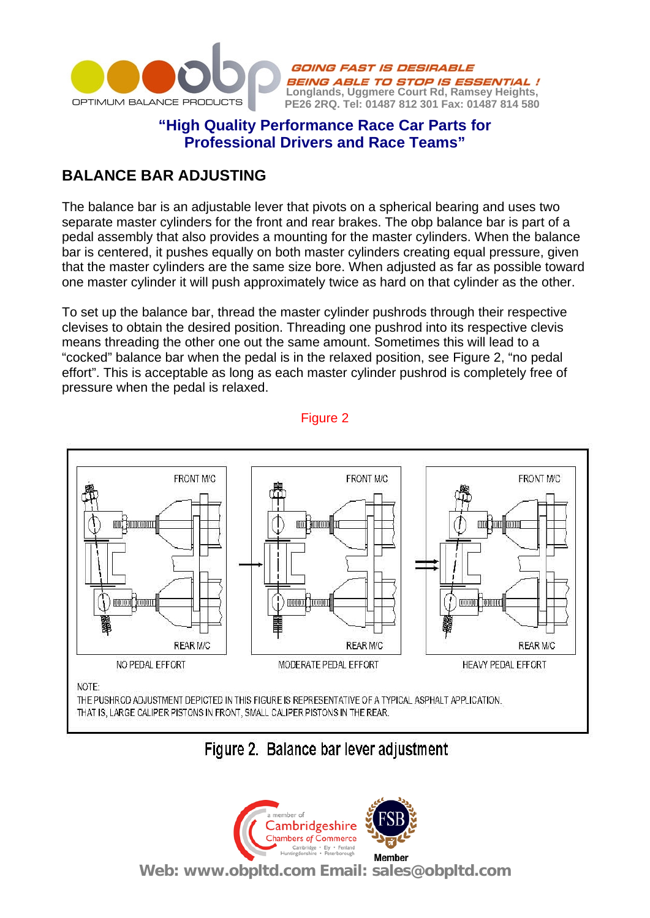

### **"High Quality Performance Race Car Parts for Professional Drivers and Race Teams"**

**BEING ABLE TO STOP IS ESSENTIAL!**<br>Longlands, Uggmere Court Rd, Ramsey Heights, **PE26 2RQ. Tel: 01487 812 301 Fax: 01487 814 580**

GOING FAST IS DESIRABLE

## **BALANCE BAR ADJUSTING**

The balance bar is an adjustable lever that pivots on a spherical bearing and uses two separate master cylinders for the front and rear brakes. The obp balance bar is part of a pedal assembly that also provides a mounting for the master cylinders. When the balance bar is centered, it pushes equally on both master cylinders creating equal pressure, given that the master cylinders are the same size bore. When adjusted as far as possible toward one master cylinder it will push approximately twice as hard on that cylinder as the other.

To set up the balance bar, thread the master cylinder pushrods through their respective clevises to obtain the desired position. Threading one pushrod into its respective clevis means threading the other one out the same amount. Sometimes this will lead to a "cocked" balance bar when the pedal is in the relaxed position, see Figure 2, "no pedal effort". This is acceptable as long as each master cylinder pushrod is completely free of pressure when the pedal is relaxed.



Figure 2

# Figure 2. Balance bar lever adjustment

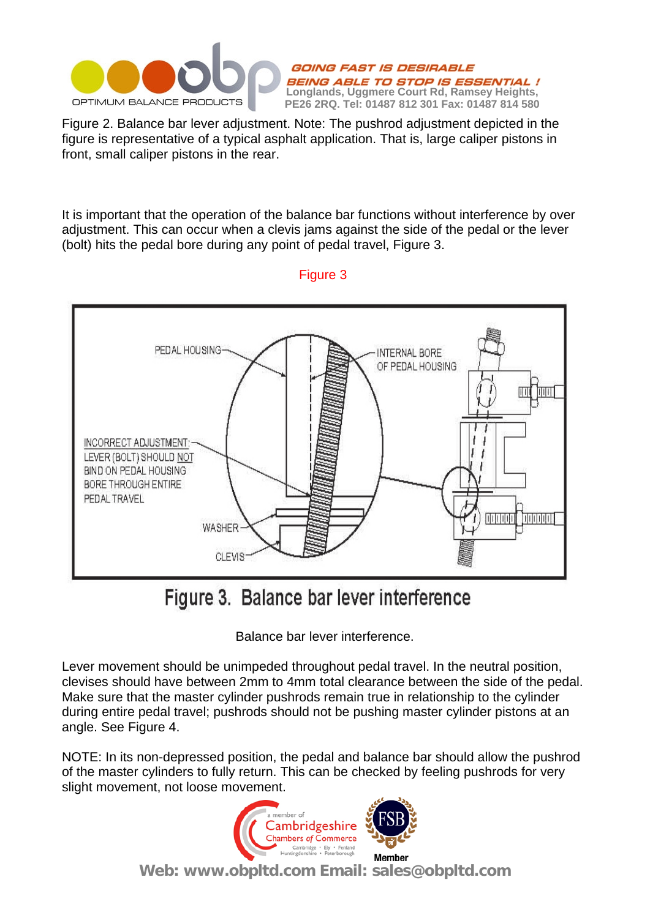

Figure 2. Balance bar lever adjustment. Note: The pushrod adjustment depicted in the figure is representative of a typical asphalt application. That is, large caliper pistons in front, small caliper pistons in the rear.

It is important that the operation of the balance bar functions without interference by over adjustment. This can occur when a clevis jams against the side of the pedal or the lever (bolt) hits the pedal bore during any point of pedal travel, Figure 3.



### Figure 3

# Figure 3. Balance bar lever interference

Balance bar lever interference.

Lever movement should be unimpeded throughout pedal travel. In the neutral position, clevises should have between 2mm to 4mm total clearance between the side of the pedal. Make sure that the master cylinder pushrods remain true in relationship to the cylinder during entire pedal travel; pushrods should not be pushing master cylinder pistons at an angle. See Figure 4.

NOTE: In its non-depressed position, the pedal and balance bar should allow the pushrod of the master cylinders to fully return. This can be checked by feeling pushrods for very slight movement, not loose movement.



**Web: www.obpltd.com Email: sales@obpltd.com**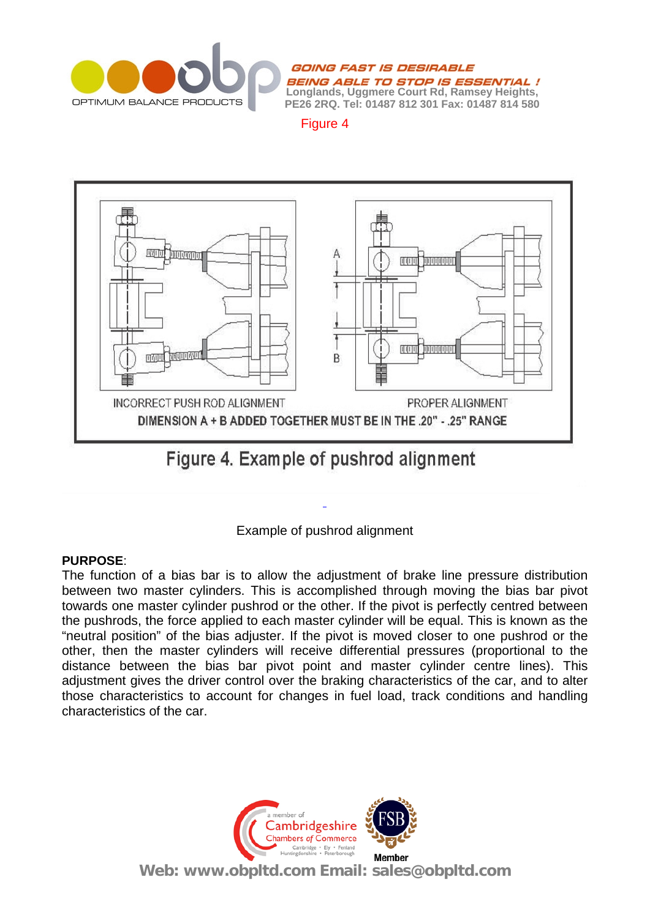

Figure 4



Figure 4. Example of pushrod alignment



### **PURPOSE**:

The function of a bias bar is to allow the adjustment of brake line pressure distribution between two master cylinders. This is accomplished through moving the bias bar pivot towards one master cylinder pushrod or the other. If the pivot is perfectly centred between the pushrods, the force applied to each master cylinder will be equal. This is known as the "neutral position" of the bias adjuster. If the pivot is moved closer to one pushrod or the other, then the master cylinders will receive differential pressures (proportional to the distance between the bias bar pivot point and master cylinder centre lines). This adjustment gives the driver control over the braking characteristics of the car, and to alter those characteristics to account for changes in fuel load, track conditions and handling characteristics of the car.



**Web: www.obpltd.com Email: sales@obpltd.com**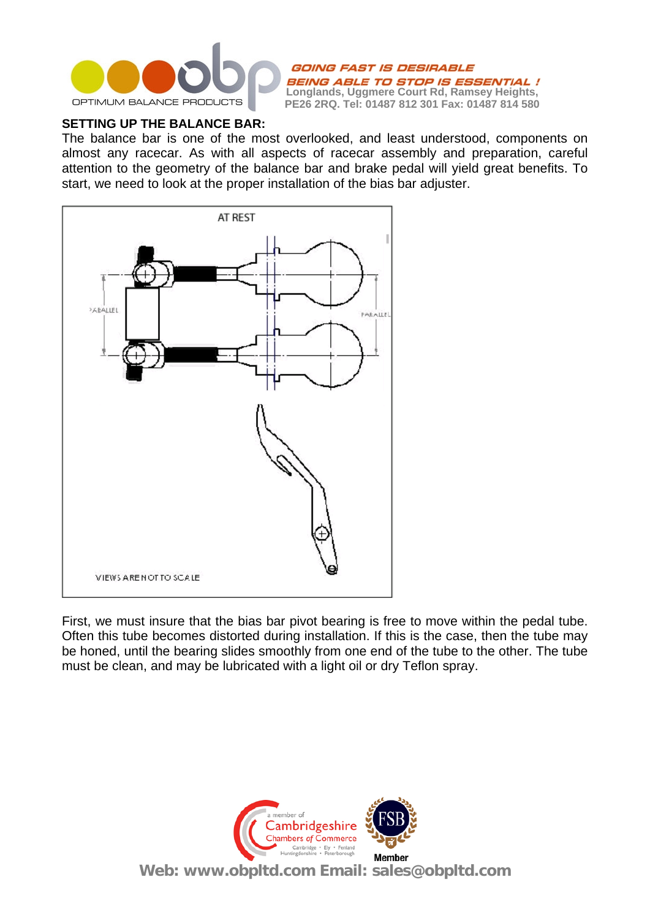

#### **SETTING UP THE BALANCE BAR:**

The balance bar is one of the most overlooked, and least understood, components on almost any racecar. As with all aspects of racecar assembly and preparation, careful attention to the geometry of the balance bar and brake pedal will yield great benefits. To start, we need to look at the proper installation of the bias bar adjuster.



First, we must insure that the bias bar pivot bearing is free to move within the pedal tube. Often this tube becomes distorted during installation. If this is the case, then the tube may be honed, until the bearing slides smoothly from one end of the tube to the other. The tube must be clean, and may be lubricated with a light oil or dry Teflon spray.